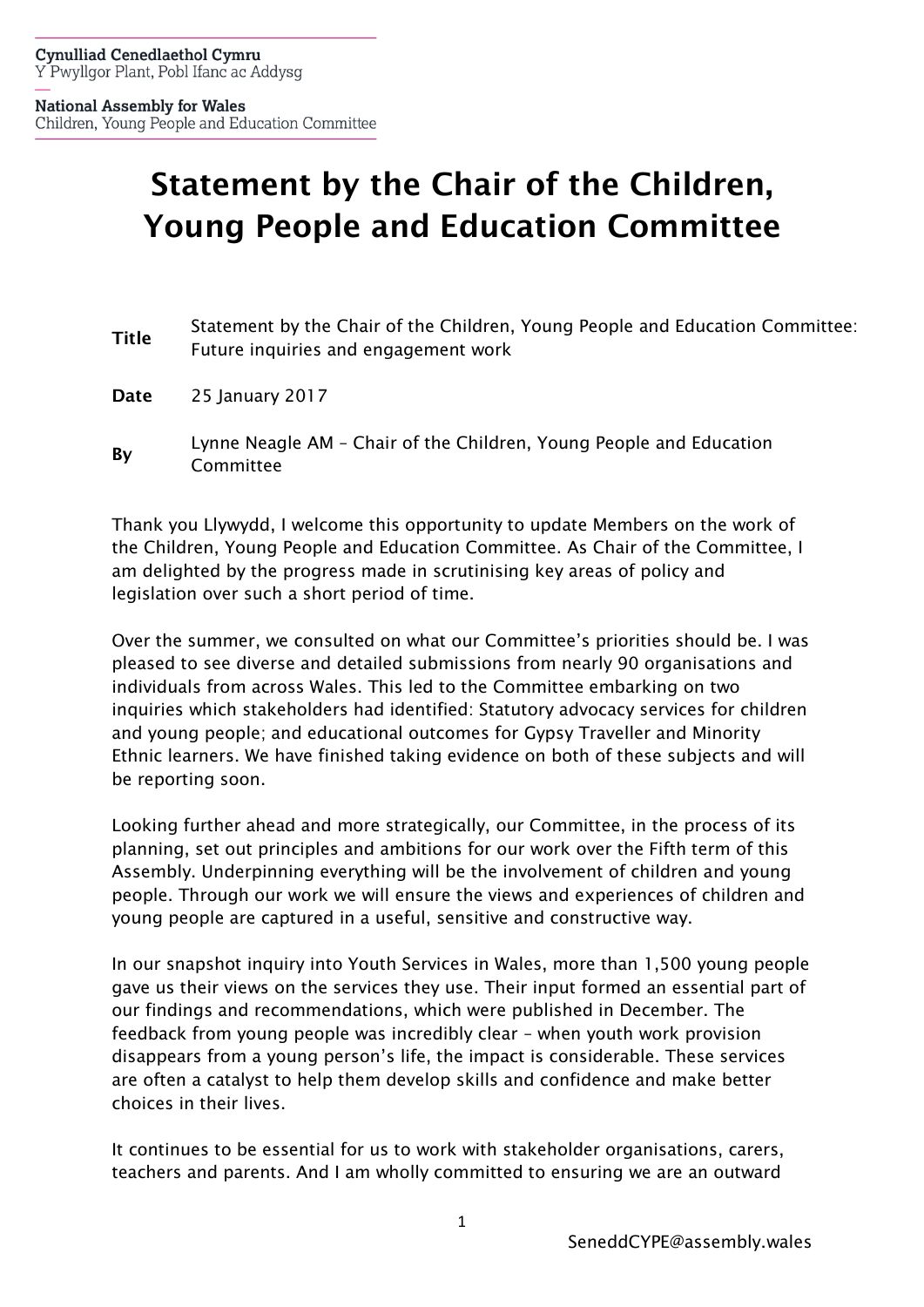# Statement by the Chair of the Children, Young People and Education Committee

- Title Statement by the Chair of the Children, Young People and Education Committee: Future inquiries and engagement work
- Date 25 January 2017
- By Lynne Neagle AM Chair of the Children, Young People and Education Committee

Thank you Llywydd, I welcome this opportunity to update Members on the work of the Children, Young People and Education Committee. As Chair of the Committee, I am delighted by the progress made in scrutinising key areas of policy and legislation over such a short period of time.

Over the summer, we consulted on what our Committee's priorities should be. I was pleased to see diverse and detailed submissions from nearly 90 organisations and individuals from across Wales. This led to the Committee embarking on two inquiries which stakeholders had identified: Statutory advocacy services for children and young people; and educational outcomes for Gypsy Traveller and Minority Ethnic learners. We have finished taking evidence on both of these subjects and will be reporting soon.

Looking further ahead and more strategically, our Committee, in the process of its planning, set out principles and ambitions for our work over the Fifth term of this Assembly. Underpinning everything will be the involvement of children and young people. Through our work we will ensure the views and experiences of children and young people are captured in a useful, sensitive and constructive way.

In our snapshot inquiry into Youth Services in Wales, more than 1,500 young people gave us their views on the services they use. Their input formed an essential part of our findings and recommendations, which were published in December. The feedback from young people was incredibly clear – when youth work provision disappears from a young person's life, the impact is considerable. These services are often a catalyst to help them develop skills and confidence and make better choices in their lives.

It continues to be essential for us to work with stakeholder organisations, carers, teachers and parents. And I am wholly committed to ensuring we are an outward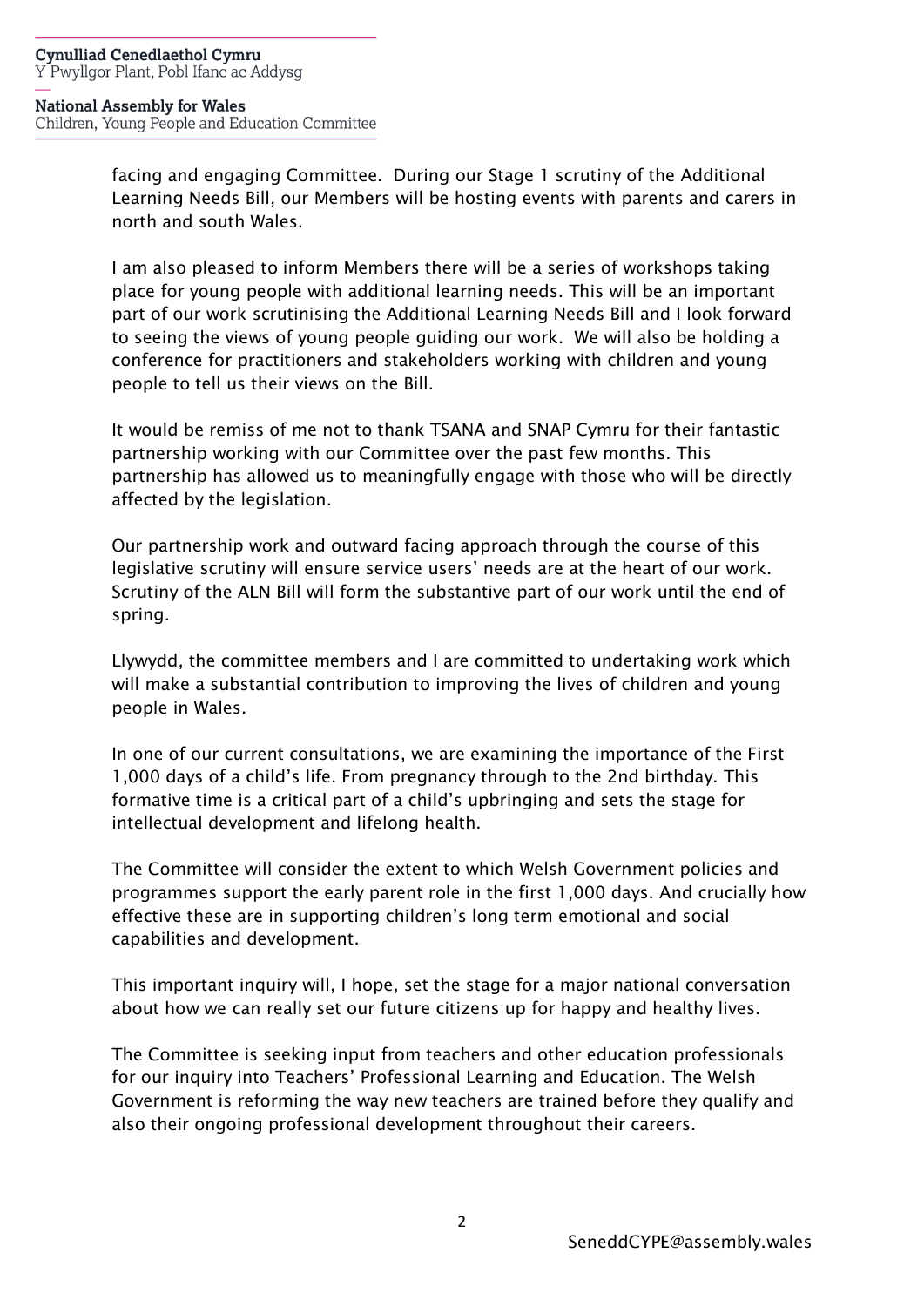## **National Assembly for Wales**

Children, Young People and Education Committee

facing and engaging Committee. During our Stage 1 scrutiny of the Additional Learning Needs Bill, our Members will be hosting events with parents and carers in north and south Wales.

I am also pleased to inform Members there will be a series of workshops taking place for young people with additional learning needs. This will be an important part of our work scrutinising the Additional Learning Needs Bill and I look forward to seeing the views of young people guiding our work. We will also be holding a conference for practitioners and stakeholders working with children and young people to tell us their views on the Bill.

It would be remiss of me not to thank TSANA and SNAP Cymru for their fantastic partnership working with our Committee over the past few months. This partnership has allowed us to meaningfully engage with those who will be directly affected by the legislation.

Our partnership work and outward facing approach through the course of this legislative scrutiny will ensure service users' needs are at the heart of our work. Scrutiny of the ALN Bill will form the substantive part of our work until the end of spring.

Llywydd, the committee members and I are committed to undertaking work which will make a substantial contribution to improving the lives of children and young people in Wales.

In one of our current consultations, we are examining the importance of the First 1,000 days of a child's life. From pregnancy through to the 2nd birthday. This formative time is a critical part of a child's upbringing and sets the stage for intellectual development and lifelong health.

The Committee will consider the extent to which Welsh Government policies and programmes support the early parent role in the first 1,000 days. And crucially how effective these are in supporting children's long term emotional and social capabilities and development.

This important inquiry will, I hope, set the stage for a major national conversation about how we can really set our future citizens up for happy and healthy lives.

The Committee is seeking input from teachers and other education professionals for our inquiry into Teachers' Professional Learning and Education. The Welsh Government is reforming the way new teachers are trained before they qualify and also their ongoing professional development throughout their careers.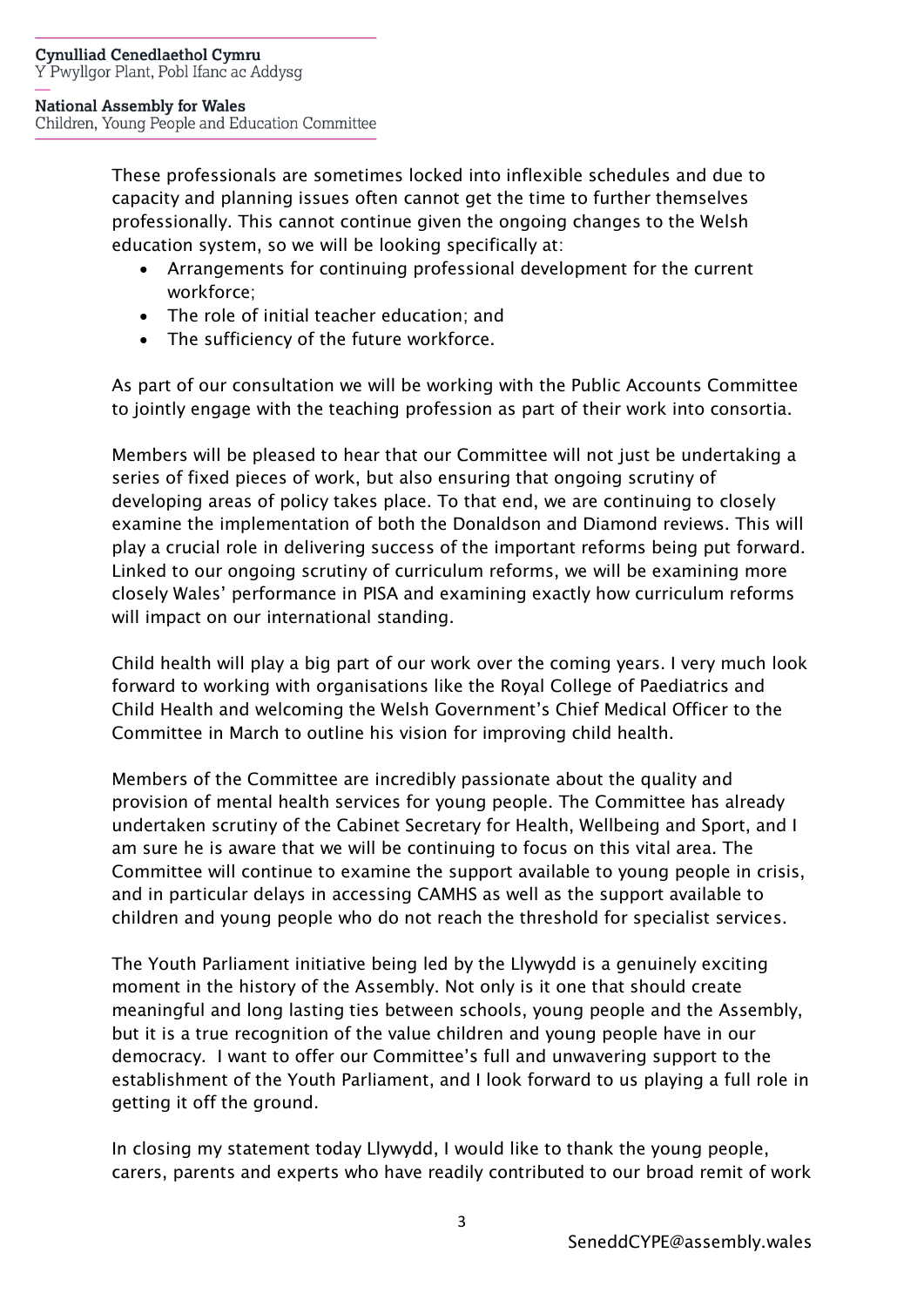## **National Assembly for Wales**

Children, Young People and Education Committee

These professionals are sometimes locked into inflexible schedules and due to capacity and planning issues often cannot get the time to further themselves professionally. This cannot continue given the ongoing changes to the Welsh education system, so we will be looking specifically at:

- Arrangements for continuing professional development for the current workforce;
- The role of initial teacher education; and
- The sufficiency of the future workforce.

As part of our consultation we will be working with the Public Accounts Committee to jointly engage with the teaching profession as part of their work into consortia.

Members will be pleased to hear that our Committee will not just be undertaking a series of fixed pieces of work, but also ensuring that ongoing scrutiny of developing areas of policy takes place. To that end, we are continuing to closely examine the implementation of both the Donaldson and Diamond reviews. This will play a crucial role in delivering success of the important reforms being put forward. Linked to our ongoing scrutiny of curriculum reforms, we will be examining more closely Wales' performance in PISA and examining exactly how curriculum reforms will impact on our international standing.

Child health will play a big part of our work over the coming years. I very much look forward to working with organisations like the Royal College of Paediatrics and Child Health and welcoming the Welsh Government's Chief Medical Officer to the Committee in March to outline his vision for improving child health.

Members of the Committee are incredibly passionate about the quality and provision of mental health services for young people. The Committee has already undertaken scrutiny of the Cabinet Secretary for Health, Wellbeing and Sport, and I am sure he is aware that we will be continuing to focus on this vital area. The Committee will continue to examine the support available to young people in crisis, and in particular delays in accessing CAMHS as well as the support available to children and young people who do not reach the threshold for specialist services.

The Youth Parliament initiative being led by the Llywydd is a genuinely exciting moment in the history of the Assembly. Not only is it one that should create meaningful and long lasting ties between schools, young people and the Assembly, but it is a true recognition of the value children and young people have in our democracy. I want to offer our Committee's full and unwavering support to the establishment of the Youth Parliament, and I look forward to us playing a full role in getting it off the ground.

In closing my statement today Llywydd, I would like to thank the young people, carers, parents and experts who have readily contributed to our broad remit of work